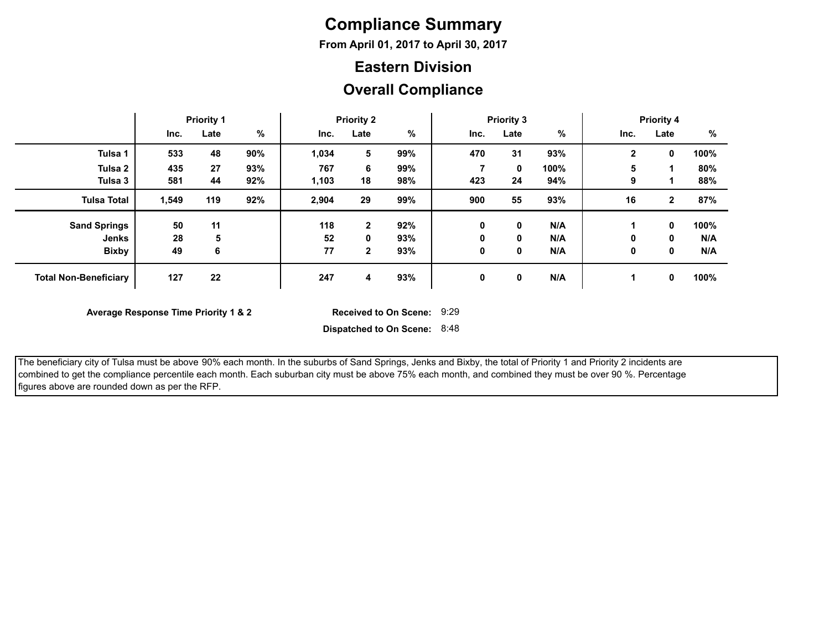## **Compliance Summary**

**From April 01, 2017 to April 30, 2017**

#### **Eastern Division**

#### **Overall Compliance**

|                              | <b>Priority 1</b> |      | <b>Priority 2</b> |       |              | <b>Priority 3</b> |             |             | <b>Priority 4</b> |              |              |      |
|------------------------------|-------------------|------|-------------------|-------|--------------|-------------------|-------------|-------------|-------------------|--------------|--------------|------|
|                              | Inc.              | Late | $\%$              | Inc.  | Late         | %                 | Inc.        | Late        | %                 | Inc.         | Late         | %    |
| Tulsa 1                      | 533               | 48   | 90%               | 1,034 | 5            | 99%               | 470         | 31          | 93%               | $\mathbf{2}$ | 0            | 100% |
| Tulsa <sub>2</sub>           | 435               | 27   | 93%               | 767   | 6            | 99%               |             | $\mathbf 0$ | 100%              | 5            |              | 80%  |
| Tulsa 3                      | 581               | 44   | 92%               | 1,103 | 18           | 98%               | 423         | 24          | 94%               | 9            |              | 88%  |
| <b>Tulsa Total</b>           | 1,549             | 119  | 92%               | 2,904 | 29           | 99%               | 900         | 55          | 93%               | 16           | $\mathbf{2}$ | 87%  |
| <b>Sand Springs</b>          | 50                | 11   |                   | 118   | $\mathbf{2}$ | 92%               | 0           | $\mathbf 0$ | N/A               |              | 0            | 100% |
| Jenks                        | 28                | 5    |                   | 52    | 0            | 93%               | 0           | $\mathbf 0$ | N/A               | 0            | 0            | N/A  |
| <b>Bixby</b>                 | 49                | 6    |                   | 77    | $\mathbf{2}$ | 93%               | 0           | 0           | N/A               | 0            | 0            | N/A  |
| <b>Total Non-Beneficiary</b> | 127               | 22   |                   | 247   | 4            | 93%               | $\mathbf 0$ | 0           | N/A               |              | 0            | 100% |

**Average Response Time Priority 1 & 2** 

Received to On Scene: 9:29

 The beneficiary city of Tulsa must be above 90% each month. In the suburbs of Sand Springs, Jenks and Bixby, the total of Priority 1 and Priority 2 incidents are combined to get the compliance percentile each month. Each suburban city must be above 75% each month, and combined they must be over 90 %. Percentage figures above are rounded down as per the RFP.

**Dispatched to On Scene:** 8:48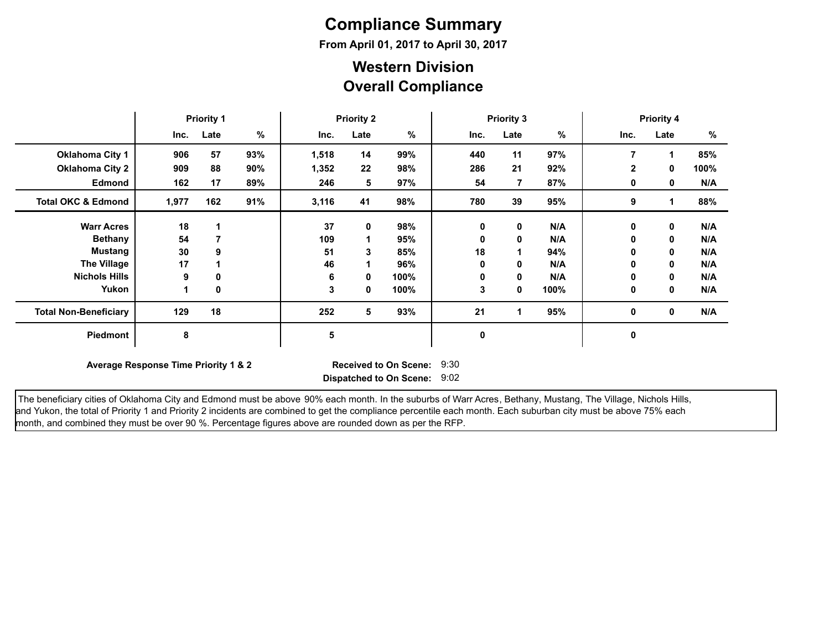# **Compliance Summary**

**From April 01, 2017 to April 30, 2017**

#### **Overall Compliance Western Division**

|                               | <b>Priority 1</b>                                                                                                      |      |     | <b>Priority 2</b> |      |      | <b>Priority 3</b> |             |      | <b>Priority 4</b> |             |      |
|-------------------------------|------------------------------------------------------------------------------------------------------------------------|------|-----|-------------------|------|------|-------------------|-------------|------|-------------------|-------------|------|
|                               | Inc.                                                                                                                   | Late | %   | Inc.              | Late | %    | Inc.              | Late        | %    | Inc.              | Late        | %    |
| <b>Oklahoma City 1</b>        | 906                                                                                                                    | 57   | 93% | 1,518             | 14   | 99%  | 440               | 11          | 97%  | 7                 |             | 85%  |
| <b>Oklahoma City 2</b>        | 909                                                                                                                    | 88   | 90% | 1,352             | 22   | 98%  | 286               | 21          | 92%  | $\mathbf{2}$      | 0           | 100% |
| <b>Edmond</b>                 | 162                                                                                                                    | 17   | 89% | 246               | 5    | 97%  | 54                | 7           | 87%  | 0                 | 0           | N/A  |
| <b>Total OKC &amp; Edmond</b> | 1,977                                                                                                                  | 162  | 91% | 3,116             | 41   | 98%  | 780               | 39          | 95%  | 9                 |             | 88%  |
| <b>Warr Acres</b>             | 18                                                                                                                     |      |     | 37                | 0    | 98%  | 0                 | $\mathbf 0$ | N/A  | 0                 | $\mathbf 0$ | N/A  |
| <b>Bethany</b>                | 54                                                                                                                     |      |     | 109               |      | 95%  | 0                 | 0           | N/A  | 0                 | 0           | N/A  |
| Mustang                       | 30                                                                                                                     | 9    |     | 51                | 3    | 85%  | 18                |             | 94%  | 0                 | 0           | N/A  |
| <b>The Village</b>            | 17                                                                                                                     |      |     | 46                |      | 96%  | 0                 | 0           | N/A  | 0                 | 0           | N/A  |
| <b>Nichols Hills</b>          | 9                                                                                                                      | 0    |     | 6                 | 0    | 100% | 0                 | $\mathbf 0$ | N/A  | 0                 | 0           | N/A  |
| Yukon                         |                                                                                                                        | 0    |     | 3                 | 0    | 100% | 3                 | $\mathbf 0$ | 100% | 0                 | 0           | N/A  |
| <b>Total Non-Beneficiary</b>  | 129                                                                                                                    | 18   |     | 252               | 5    | 93%  | 21                |             | 95%  | $\mathbf 0$       | $\mathbf 0$ | N/A  |
| Piedmont                      | 8                                                                                                                      |      |     | 5                 |      |      | 0                 |             |      | 0                 |             |      |
|                               | 9:30<br>Average Response Time Priority 1 & 2<br><b>Received to On Scene:</b><br>9:02<br><b>Dispatched to On Scene:</b> |      |     |                   |      |      |                   |             |      |                   |             |      |

The beneficiary cities of Oklahoma City and Edmond must be above 90% each month. In the suburbs of Warr Acres, Bethany, Mustang, The Village, Nichols Hills, and Yukon, the total of Priority 1 and Priority 2 incidents are combined to get the compliance percentile each month. Each suburban city must be above 75% each month, and combined they must be over 90 %. Percentage figures above are rounded down as per the RFP.